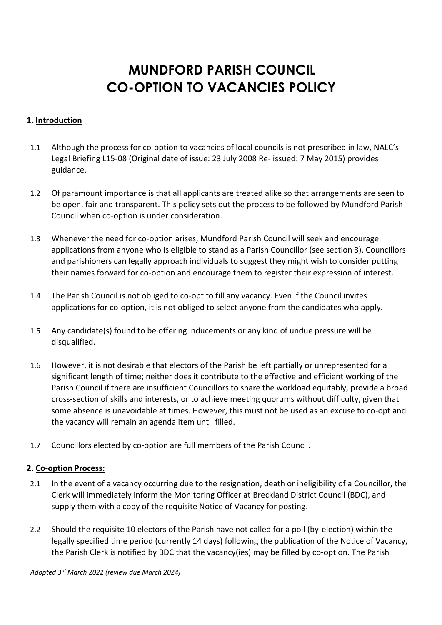# **MUNDFORD PARISH COUNCIL CO-OPTION TO VACANCIES POLICY**

### **1. Introduction**

- 1.1 Although the process for co-option to vacancies of local councils is not prescribed in law, NALC's Legal Briefing L15-08 (Original date of issue: 23 July 2008 Re- issued: 7 May 2015) provides guidance.
- 1.2 Of paramount importance is that all applicants are treated alike so that arrangements are seen to be open, fair and transparent. This policy sets out the process to be followed by Mundford Parish Council when co-option is under consideration.
- 1.3 Whenever the need for co-option arises, Mundford Parish Council will seek and encourage applications from anyone who is eligible to stand as a Parish Councillor (see section 3). Councillors and parishioners can legally approach individuals to suggest they might wish to consider putting their names forward for co-option and encourage them to register their expression of interest.
- 1.4 The Parish Council is not obliged to co-opt to fill any vacancy. Even if the Council invites applications for co-option, it is not obliged to select anyone from the candidates who apply.
- 1.5 Any candidate(s) found to be offering inducements or any kind of undue pressure will be disqualified.
- 1.6 However, it is not desirable that electors of the Parish be left partially or unrepresented for a significant length of time; neither does it contribute to the effective and efficient working of the Parish Council if there are insufficient Councillors to share the workload equitably, provide a broad cross-section of skills and interests, or to achieve meeting quorums without difficulty, given that some absence is unavoidable at times. However, this must not be used as an excuse to co-opt and the vacancy will remain an agenda item until filled.
- 1.7 Councillors elected by co-option are full members of the Parish Council.

#### **2. Co-option Process:**

- 2.1 In the event of a vacancy occurring due to the resignation, death or ineligibility of a Councillor, the Clerk will immediately inform the Monitoring Officer at Breckland District Council (BDC), and supply them with a copy of the requisite Notice of Vacancy for posting.
- 2.2 Should the requisite 10 electors of the Parish have not called for a poll (by-election) within the legally specified time period (currently 14 days) following the publication of the Notice of Vacancy, the Parish Clerk is notified by BDC that the vacancy(ies) may be filled by co-option. The Parish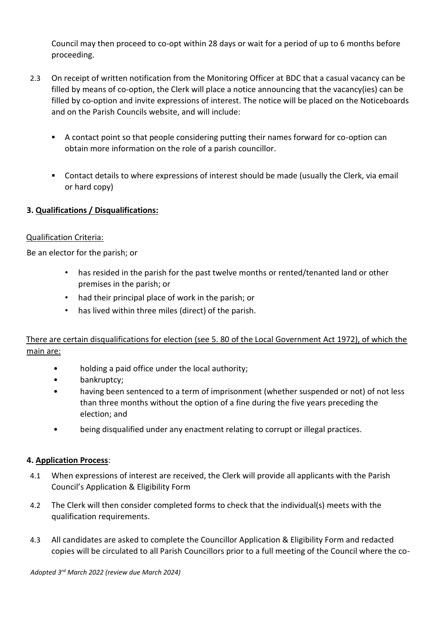Council may then proceed to co-opt within 28 days or wait for a period of up to 6 months before proceeding.

- 2.3 On receipt of written notification from the Monitoring Officer at BDC that a casual vacancy can be filled by means of co-option, the Clerk will place a notice announcing that the vacancy(ies) can be filled by co-option and invite expressions of interest. The notice will be placed on the Noticeboards and on the Parish Councils website, and will include:
	- A contact point so that people considering putting their names forward for co-option can obtain more information on the role of a parish councillor.
	- Contact details to where expressions of interest should be made (usually the Clerk, via email or hard copy)

## **3. Qualifications / Disqualifications:**

#### Qualification Criteria:

Be an elector for the parish; or

- has resided in the parish for the past twelve months or rented/tenanted land or other premises in the parish; or
- had their principal place of work in the parish; or
- has lived within three miles (direct) of the parish.

## There are certain disqualifications for election (see 5. 80 of the Local Government Act 1972), of which the main are:

- holding a paid office under the local authority;
- bankruptcy;
- having been sentenced to a term of imprisonment (whether suspended or not) of not less than three months without the option of a fine during the five years preceding the election; and
- being disqualified under any enactment relating to corrupt or illegal practices.

#### **4. Application Process**:

- 4.1 When expressions of interest are received, the Clerk will provide all applicants with the Parish Council's Application & Eligibility Form
- 4.2 The Clerk will then consider completed forms to check that the individual(s) meets with the qualification requirements.
- 4.3 All candidates are asked to complete the Councillor Application & Eligibility Form and redacted copies will be circulated to all Parish Councillors prior to a full meeting of the Council where the co-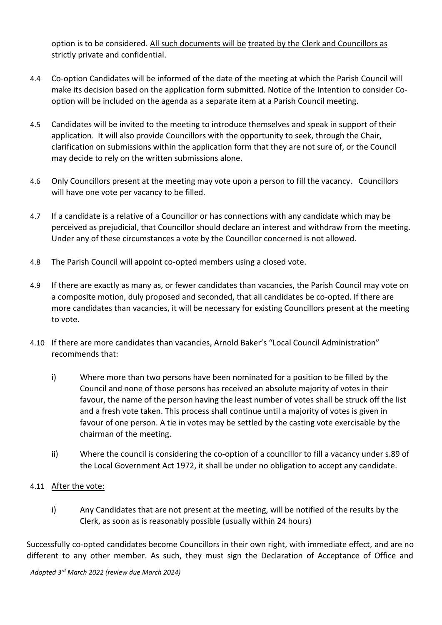option is to be considered. All such documents will be treated by the Clerk and Councillors as strictly private and confidential.

- 4.4 Co-option Candidates will be informed of the date of the meeting at which the Parish Council will make its decision based on the application form submitted. Notice of the Intention to consider Cooption will be included on the agenda as a separate item at a Parish Council meeting.
- 4.5 Candidates will be invited to the meeting to introduce themselves and speak in support of their application. It will also provide Councillors with the opportunity to seek, through the Chair, clarification on submissions within the application form that they are not sure of, or the Council may decide to rely on the written submissions alone.
- 4.6 Only Councillors present at the meeting may vote upon a person to fill the vacancy. Councillors will have one vote per vacancy to be filled.
- 4.7 If a candidate is a relative of a Councillor or has connections with any candidate which may be perceived as prejudicial, that Councillor should declare an interest and withdraw from the meeting. Under any of these circumstances a vote by the Councillor concerned is not allowed.
- 4.8 The Parish Council will appoint co-opted members using a closed vote.
- 4.9 If there are exactly as many as, or fewer candidates than vacancies, the Parish Council may vote on a composite motion, duly proposed and seconded, that all candidates be co-opted. If there are more candidates than vacancies, it will be necessary for existing Councillors present at the meeting to vote.
- 4.10 If there are more candidates than vacancies, Arnold Baker's "Local Council Administration" recommends that:
	- i) Where more than two persons have been nominated for a position to be filled by the Council and none of those persons has received an absolute majority of votes in their favour, the name of the person having the least number of votes shall be struck off the list and a fresh vote taken. This process shall continue until a majority of votes is given in favour of one person. A tie in votes may be settled by the casting vote exercisable by the chairman of the meeting.
	- ii) Where the council is considering the co-option of a councillor to fill a vacancy under s.89 of the Local Government Act 1972, it shall be under no obligation to accept any candidate.

#### 4.11 After the vote:

i) Any Candidates that are not present at the meeting, will be notified of the results by the Clerk, as soon as is reasonably possible (usually within 24 hours)

Successfully co-opted candidates become Councillors in their own right, with immediate effect, and are no different to any other member. As such, they must sign the Declaration of Acceptance of Office and